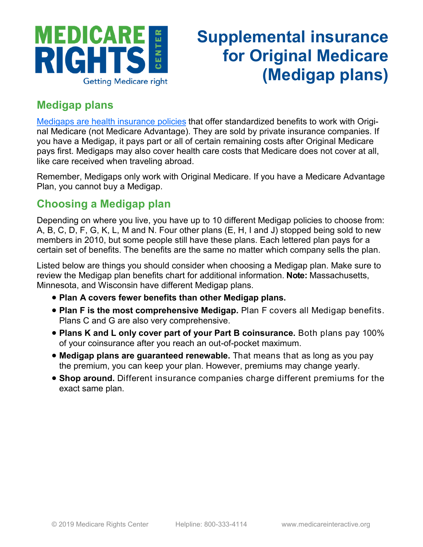

## **Supplemental insurance for Original Medicare (Medigap plans)**

## **Medigap plans**

[Medigaps are health insurance policies](https://www.medicareinteractive.org/get-answers/medicare-health-coverage-options/supplemental-insurance-for-original-medicare-medigaps/medigap-overview) that offer standardized benefits to work with Original Medicare (not Medicare Advantage). They are sold by private insurance companies. If you have a Medigap, it pays part or all of certain remaining costs after Original Medicare pays first. Medigaps may also cover health care costs that Medicare does not cover at all, like care received when traveling abroad.

Remember, Medigaps only work with Original Medicare. If you have a Medicare Advantage Plan, you cannot buy a Medigap.

## **Choosing a Medigap plan**

Depending on where you live, you have up to 10 different Medigap policies to choose from: A, B, C, D, F, G, K, L, M and N. Four other plans (E, H, I and J) stopped being sold to new members in 2010, but some people still have these plans. Each lettered plan pays for a certain set of benefits. The benefits are the same no matter which company sells the plan.

Listed below are things you should consider when choosing a Medigap plan. Make sure to review the Medigap plan benefits chart for additional information. **Note:** Massachusetts, Minnesota, and Wisconsin have different Medigap plans.

- **Plan A covers fewer benefits than other Medigap plans.**
- **Plan F is the most comprehensive Medigap.** Plan F covers all Medigap benefits. Plans C and G are also very comprehensive.
- **Plans K and L only cover part of your Part B coinsurance.** Both plans pay 100% of your coinsurance after you reach an out-of-pocket maximum.
- **Medigap plans are guaranteed renewable.** That means that as long as you pay the premium, you can keep your plan. However, premiums may change yearly.
- **Shop around.** Different insurance companies charge different premiums for the exact same plan.